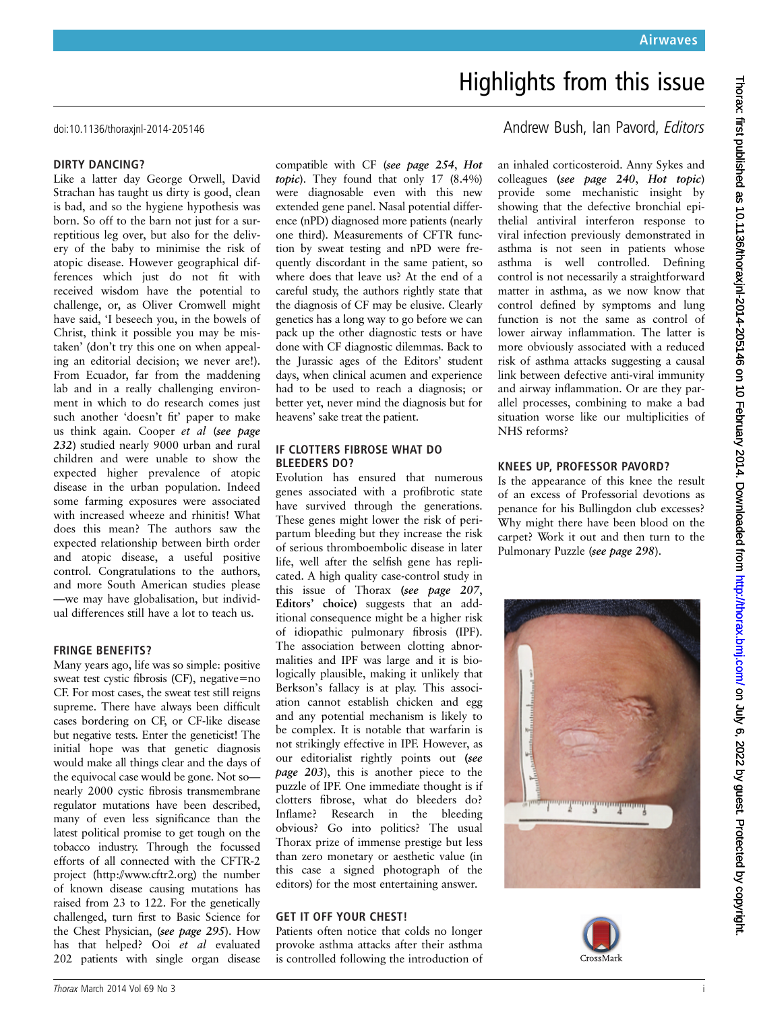# Highlights from this issue

#### DIRTY DANCING?

Like a latter day George Orwell, David Strachan has taught us dirty is good, clean is bad, and so the hygiene hypothesis was born. So off to the barn not just for a surreptitious leg over, but also for the delivery of the baby to minimise the risk of atopic disease. However geographical differences which just do not fit with received wisdom have the potential to challenge, or, as Oliver Cromwell might have said, 'I beseech you, in the bowels of Christ, think it possible you may be mistaken' (don't try this one on when appealing an editorial decision; we never are!). From Ecuador, far from the maddening lab and in a really challenging environment in which to do research comes just such another 'doesn't fit' paper to make us think again. Cooper et al (see page 232) studied nearly 9000 urban and rural children and were unable to show the expected higher prevalence of atopic disease in the urban population. Indeed some farming exposures were associated with increased wheeze and rhinitis! What does this mean? The authors saw the expected relationship between birth order and atopic disease, a useful positive control. Congratulations to the authors, and more South American studies please —we may have globalisation, but individual differences still have a lot to teach us.

### FRINGE BENEFITS?

Many years ago, life was so simple: positive sweat test cystic fibrosis (CF), negative=no CF. For most cases, the sweat test still reigns supreme. There have always been difficult cases bordering on CF, or CF-like disease but negative tests. Enter the geneticist! The initial hope was that genetic diagnosis would make all things clear and the days of the equivocal case would be gone. Not so nearly 2000 cystic fibrosis transmembrane regulator mutations have been described, many of even less significance than the latest political promise to get tough on the tobacco industry. Through the focussed efforts of all connected with the CFTR-2 project ([http://www.cftr2.org\)](http://www.cftr2.org) the number of known disease causing mutations has raised from 23 to 122. For the genetically challenged, turn first to Basic Science for the Chest Physician, (see page 295). How has that helped? Ooi et al evaluated 202 patients with single organ disease

compatible with CF (see page 254, Hot topic). They found that only 17 (8.4%) were diagnosable even with this new extended gene panel. Nasal potential difference (nPD) diagnosed more patients (nearly one third). Measurements of CFTR function by sweat testing and nPD were frequently discordant in the same patient, so where does that leave us? At the end of a careful study, the authors rightly state that the diagnosis of CF may be elusive. Clearly genetics has a long way to go before we can pack up the other diagnostic tests or have done with CF diagnostic dilemmas. Back to the Jurassic ages of the Editors' student days, when clinical acumen and experience had to be used to reach a diagnosis; or better yet, never mind the diagnosis but for heavens' sake treat the patient.

#### IF CLOTTERS FIBROSE WHAT DO BLEEDERS DO?

Evolution has ensured that numerous genes associated with a profibrotic state have survived through the generations. These genes might lower the risk of peripartum bleeding but they increase the risk of serious thromboembolic disease in later life, well after the selfish gene has replicated. A high quality case-control study in this issue of Thorax (see page 207, Editors' choice) suggests that an additional consequence might be a higher risk of idiopathic pulmonary fibrosis (IPF). The association between clotting abnormalities and IPF was large and it is biologically plausible, making it unlikely that Berkson's fallacy is at play. This association cannot establish chicken and egg and any potential mechanism is likely to be complex. It is notable that warfarin is not strikingly effective in IPF. However, as our editorialist rightly points out (see page 203), this is another piece to the puzzle of IPF. One immediate thought is if clotters fibrose, what do bleeders do? Inflame? Research in the bleeding obvious? Go into politics? The usual Thorax prize of immense prestige but less than zero monetary or aesthetic value (in this case a signed photograph of the editors) for the most entertaining answer.

### GET IT OFF YOUR CHEST!

Patients often notice that colds no longer provoke asthma attacks after their asthma is controlled following the introduction of

doi:10.1136/thoraxinl-2014-205146 and the state of the state of the Andrew Bush, Ian Pavord, Editors

an inhaled corticosteroid. Anny Sykes and colleagues (see page 240, Hot topic) provide some mechanistic insight by showing that the defective bronchial epithelial antiviral interferon response to viral infection previously demonstrated in asthma is not seen in patients whose asthma is well controlled. Defining control is not necessarily a straightforward matter in asthma, as we now know that control defined by symptoms and lung function is not the same as control of lower airway inflammation. The latter is more obviously associated with a reduced risk of asthma attacks suggesting a causal link between defective anti-viral immunity and airway inflammation. Or are they parallel processes, combining to make a bad situation worse like our multiplicities of NHS reforms?

## KNEES UP, PROFESSOR PAVORD?

Is the appearance of this knee the result of an excess of Professorial devotions as penance for his Bullingdon club excesses? Why might there have been blood on the carpet? Work it out and then turn to the Pulmonary Puzzle (see page 298).